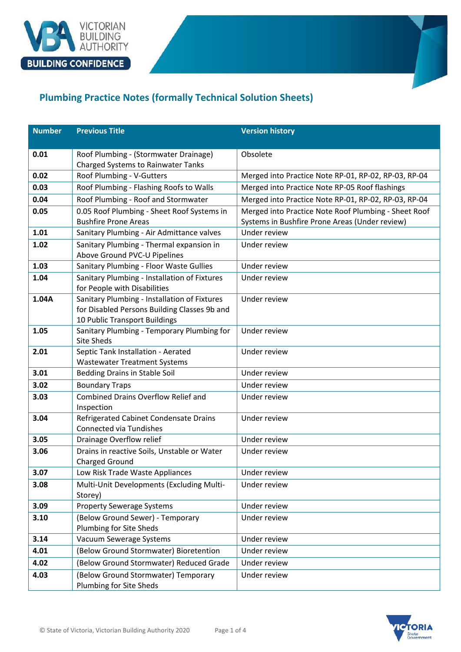

## **Plumbing Practice Notes (formally Technical Solution Sheets)**

| <b>Number</b> | <b>Previous Title</b>                                                                                                         | <b>Version history</b>                               |
|---------------|-------------------------------------------------------------------------------------------------------------------------------|------------------------------------------------------|
|               |                                                                                                                               |                                                      |
| 0.01          | Roof Plumbing - (Stormwater Drainage)                                                                                         | Obsolete                                             |
|               | <b>Charged Systems to Rainwater Tanks</b>                                                                                     |                                                      |
| 0.02          | Roof Plumbing - V-Gutters                                                                                                     | Merged into Practice Note RP-01, RP-02, RP-03, RP-04 |
| 0.03          | Roof Plumbing - Flashing Roofs to Walls                                                                                       | Merged into Practice Note RP-05 Roof flashings       |
| 0.04          | Roof Plumbing - Roof and Stormwater                                                                                           | Merged into Practice Note RP-01, RP-02, RP-03, RP-04 |
| 0.05          | 0.05 Roof Plumbing - Sheet Roof Systems in                                                                                    | Merged into Practice Note Roof Plumbing - Sheet Roof |
|               | <b>Bushfire Prone Areas</b>                                                                                                   | Systems in Bushfire Prone Areas (Under review)       |
| 1.01          | Sanitary Plumbing - Air Admittance valves                                                                                     | Under review                                         |
| 1.02          | Sanitary Plumbing - Thermal expansion in<br>Above Ground PVC-U Pipelines                                                      | Under review                                         |
| 1.03          | Sanitary Plumbing - Floor Waste Gullies                                                                                       | Under review                                         |
| 1.04          | Sanitary Plumbing - Installation of Fixtures<br>for People with Disabilities                                                  | Under review                                         |
| 1.04A         | Sanitary Plumbing - Installation of Fixtures<br>for Disabled Persons Building Classes 9b and<br>10 Public Transport Buildings | Under review                                         |
| 1.05          | Sanitary Plumbing - Temporary Plumbing for<br><b>Site Sheds</b>                                                               | Under review                                         |
| 2.01          | Septic Tank Installation - Aerated                                                                                            | Under review                                         |
|               | <b>Wastewater Treatment Systems</b>                                                                                           |                                                      |
| 3.01          | <b>Bedding Drains in Stable Soil</b>                                                                                          | Under review                                         |
| 3.02          | <b>Boundary Traps</b>                                                                                                         | Under review                                         |
| 3.03          | <b>Combined Drains Overflow Relief and</b><br>Inspection                                                                      | Under review                                         |
| 3.04          | Refrigerated Cabinet Condensate Drains<br><b>Connected via Tundishes</b>                                                      | Under review                                         |
| 3.05          | Drainage Overflow relief                                                                                                      | Under review                                         |
| 3.06          | Drains in reactive Soils, Unstable or Water<br><b>Charged Ground</b>                                                          | Under review                                         |
| 3.07          | Low Risk Trade Waste Appliances                                                                                               | Under review                                         |
| 3.08          | Multi-Unit Developments (Excluding Multi-<br>Storey)                                                                          | Under review                                         |
| 3.09          | <b>Property Sewerage Systems</b>                                                                                              | Under review                                         |
| 3.10          | (Below Ground Sewer) - Temporary                                                                                              | Under review                                         |
|               | Plumbing for Site Sheds                                                                                                       |                                                      |
| 3.14          | Vacuum Sewerage Systems                                                                                                       | Under review                                         |
| 4.01          | (Below Ground Stormwater) Bioretention                                                                                        | Under review                                         |
| 4.02          | (Below Ground Stormwater) Reduced Grade                                                                                       | Under review                                         |
| 4.03          | (Below Ground Stormwater) Temporary<br>Plumbing for Site Sheds                                                                | Under review                                         |

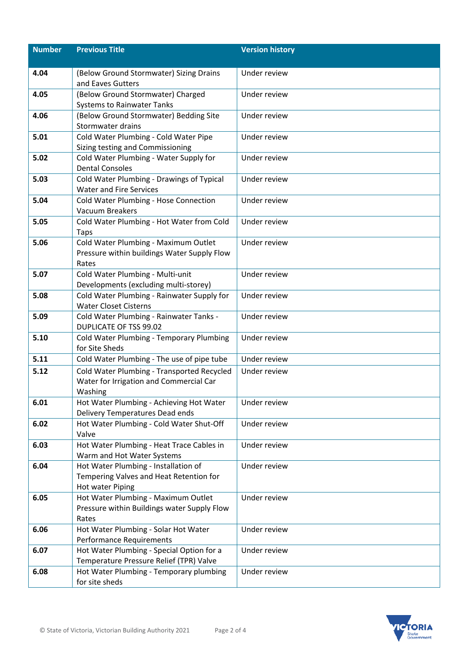| <b>Number</b> | <b>Previous Title</b>                                                               | <b>Version history</b> |
|---------------|-------------------------------------------------------------------------------------|------------------------|
|               |                                                                                     |                        |
| 4.04          | (Below Ground Stormwater) Sizing Drains<br>and Eaves Gutters                        | Under review           |
| 4.05          | (Below Ground Stormwater) Charged                                                   | Under review           |
|               | <b>Systems to Rainwater Tanks</b>                                                   |                        |
| 4.06          | (Below Ground Stormwater) Bedding Site                                              | Under review           |
|               | Stormwater drains                                                                   |                        |
| 5.01          | Cold Water Plumbing - Cold Water Pipe<br>Sizing testing and Commissioning           | Under review           |
| 5.02          | Cold Water Plumbing - Water Supply for                                              | Under review           |
|               | <b>Dental Consoles</b>                                                              |                        |
| 5.03          | Cold Water Plumbing - Drawings of Typical                                           | Under review           |
|               | <b>Water and Fire Services</b>                                                      |                        |
| 5.04          | Cold Water Plumbing - Hose Connection                                               | Under review           |
|               | <b>Vacuum Breakers</b>                                                              |                        |
| 5.05          | Cold Water Plumbing - Hot Water from Cold                                           | Under review           |
| 5.06          | <b>Taps</b>                                                                         | Under review           |
|               | Cold Water Plumbing - Maximum Outlet<br>Pressure within buildings Water Supply Flow |                        |
|               | Rates                                                                               |                        |
| 5.07          | Cold Water Plumbing - Multi-unit                                                    | Under review           |
|               | Developments (excluding multi-storey)                                               |                        |
| 5.08          | Cold Water Plumbing - Rainwater Supply for                                          | Under review           |
|               | <b>Water Closet Cisterns</b>                                                        |                        |
| 5.09          | Cold Water Plumbing - Rainwater Tanks -                                             | Under review           |
|               | <b>DUPLICATE OF TSS 99.02</b>                                                       |                        |
| 5.10          | Cold Water Plumbing - Temporary Plumbing<br>for Site Sheds                          | Under review           |
| 5.11          | Cold Water Plumbing - The use of pipe tube                                          | Under review           |
| 5.12          | Cold Water Plumbing - Transported Recycled                                          | Under review           |
|               | Water for Irrigation and Commercial Car                                             |                        |
|               | Washing                                                                             |                        |
| 6.01          | Hot Water Plumbing - Achieving Hot Water                                            | Under review           |
|               | Delivery Temperatures Dead ends                                                     |                        |
| 6.02          | Hot Water Plumbing - Cold Water Shut-Off                                            | Under review           |
|               | Valve                                                                               |                        |
| 6.03          | Hot Water Plumbing - Heat Trace Cables in<br>Warm and Hot Water Systems             | Under review           |
| 6.04          | Hot Water Plumbing - Installation of                                                | Under review           |
|               | Tempering Valves and Heat Retention for                                             |                        |
|               | Hot water Piping                                                                    |                        |
| 6.05          | Hot Water Plumbing - Maximum Outlet                                                 | Under review           |
|               | Pressure within Buildings water Supply Flow                                         |                        |
|               | Rates                                                                               |                        |
| 6.06          | Hot Water Plumbing - Solar Hot Water<br>Performance Requirements                    | Under review           |
| 6.07          | Hot Water Plumbing - Special Option for a                                           | Under review           |
|               | Temperature Pressure Relief (TPR) Valve                                             |                        |
| 6.08          | Hot Water Plumbing - Temporary plumbing                                             | Under review           |
|               | for site sheds                                                                      |                        |

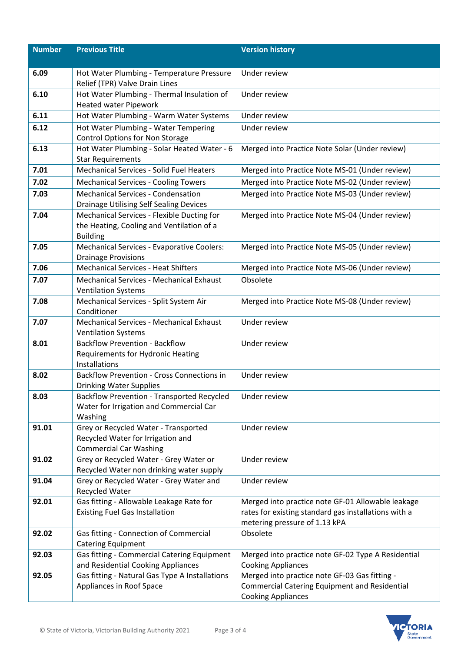| <b>Number</b> | <b>Previous Title</b>                                                                                      | <b>Version history</b>                                                                                                                     |
|---------------|------------------------------------------------------------------------------------------------------------|--------------------------------------------------------------------------------------------------------------------------------------------|
|               |                                                                                                            |                                                                                                                                            |
| 6.09          | Hot Water Plumbing - Temperature Pressure<br>Relief (TPR) Valve Drain Lines                                | Under review                                                                                                                               |
| 6.10          | Hot Water Plumbing - Thermal Insulation of<br><b>Heated water Pipework</b>                                 | Under review                                                                                                                               |
| 6.11          | Hot Water Plumbing - Warm Water Systems                                                                    | Under review                                                                                                                               |
| 6.12          | Hot Water Plumbing - Water Tempering                                                                       | Under review                                                                                                                               |
|               | <b>Control Options for Non Storage</b>                                                                     |                                                                                                                                            |
| 6.13          | Hot Water Plumbing - Solar Heated Water - 6<br><b>Star Requirements</b>                                    | Merged into Practice Note Solar (Under review)                                                                                             |
| 7.01          | <b>Mechanical Services - Solid Fuel Heaters</b>                                                            | Merged into Practice Note MS-01 (Under review)                                                                                             |
| 7.02          | <b>Mechanical Services - Cooling Towers</b>                                                                | Merged into Practice Note MS-02 (Under review)                                                                                             |
| 7.03          | <b>Mechanical Services - Condensation</b><br>Drainage Utilising Self Sealing Devices                       | Merged into Practice Note MS-03 (Under review)                                                                                             |
| 7.04          | Mechanical Services - Flexible Ducting for<br>the Heating, Cooling and Ventilation of a<br><b>Building</b> | Merged into Practice Note MS-04 (Under review)                                                                                             |
| 7.05          | Mechanical Services - Evaporative Coolers:<br><b>Drainage Provisions</b>                                   | Merged into Practice Note MS-05 (Under review)                                                                                             |
| 7.06          | <b>Mechanical Services - Heat Shifters</b>                                                                 | Merged into Practice Note MS-06 (Under review)                                                                                             |
| 7.07          | <b>Mechanical Services - Mechanical Exhaust</b><br><b>Ventilation Systems</b>                              | Obsolete                                                                                                                                   |
| 7.08          | Mechanical Services - Split System Air<br>Conditioner                                                      | Merged into Practice Note MS-08 (Under review)                                                                                             |
| 7.07          | Mechanical Services - Mechanical Exhaust                                                                   | Under review                                                                                                                               |
|               | <b>Ventilation Systems</b>                                                                                 |                                                                                                                                            |
| 8.01          | <b>Backflow Prevention - Backflow</b>                                                                      | Under review                                                                                                                               |
|               | <b>Requirements for Hydronic Heating</b><br>Installations                                                  |                                                                                                                                            |
| 8.02          | <b>Backflow Prevention - Cross Connections in</b><br><b>Drinking Water Supplies</b>                        | Under review                                                                                                                               |
| 8.03          | <b>Backflow Prevention - Transported Recycled</b><br>Water for Irrigation and Commercial Car<br>Washing    | Under review                                                                                                                               |
| 91.01         | Grey or Recycled Water - Transported<br>Recycled Water for Irrigation and<br><b>Commercial Car Washing</b> | Under review                                                                                                                               |
| 91.02         | Grey or Recycled Water - Grey Water or                                                                     | Under review                                                                                                                               |
|               | Recycled Water non drinking water supply                                                                   |                                                                                                                                            |
| 91.04         | Grey or Recycled Water - Grey Water and<br>Recycled Water                                                  | Under review                                                                                                                               |
| 92.01         | Gas fitting - Allowable Leakage Rate for<br><b>Existing Fuel Gas Installation</b>                          | Merged into practice note GF-01 Allowable leakage<br>rates for existing standard gas installations with a<br>metering pressure of 1.13 kPA |
| 92.02         | Gas fitting - Connection of Commercial<br><b>Catering Equipment</b>                                        | Obsolete                                                                                                                                   |
| 92.03         | Gas fitting - Commercial Catering Equipment<br>and Residential Cooking Appliances                          | Merged into practice note GF-02 Type A Residential<br><b>Cooking Appliances</b>                                                            |
| 92.05         | Gas fitting - Natural Gas Type A Installations                                                             | Merged into practice note GF-03 Gas fitting -                                                                                              |
|               | Appliances in Roof Space                                                                                   | <b>Commercial Catering Equipment and Residential</b>                                                                                       |
|               |                                                                                                            | <b>Cooking Appliances</b>                                                                                                                  |